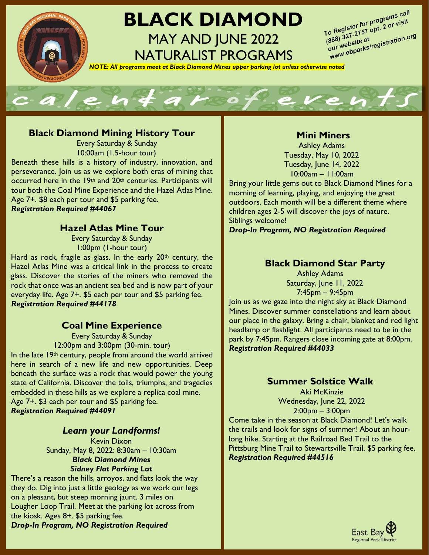

# **BLACK DIAMOND** MAY AND JUNE 2022 NATURALIST PROGRAMS

To Register for programs call<br>To Register for programs call<br>To 88\ 327-2757 opt. 2 (190.0) To Register for programs can<br>(888) 327-2757 opt. 2 or visit<br>(888) 327-2757 opt. 2 or visit o Registe:<br>888) 327-2757 opt. 2<br>our website at<br>www.ebparks/registration.org<br>www.ebparks/registration.org  $\frac{(888)^{327-215}}{(888)^{327-215}}$ <br>our website at

*NOTE: All programs meet at Black Diamond Mines upper parking lot unless otherwise noted*



### **Black Diamond Mining History Tour**

Every Saturday & Sunday 10:00am (1.5-hour tour)

Beneath these hills is a history of industry, innovation, and perseverance. Join us as we explore both eras of mining that occurred here in the 19<sup>th</sup> and 20<sup>th</sup> centuries. Participants will tour both the Coal Mine Experience and the Hazel Atlas Mine. Age 7+. \$8 each per tour and \$5 parking fee. *Registration Required #44067*

# **Hazel Atlas Mine Tour**

Every Saturday & Sunday 1:00pm (1-hour tour)

Hard as rock, fragile as glass. In the early  $20<sup>th</sup>$  century, the Hazel Atlas Mine was a critical link in the process to create glass. Discover the stories of the miners who removed the rock that once was an ancient sea bed and is now part of your everyday life. Age 7+. \$5 each per tour and \$5 parking fee. *Registration Required #44178*

#### **Coal Mine Experience**

Every Saturday & Sunday 12:00pm and 3:00pm (30-min. tour)

In the late 19<sup>th</sup> century, people from around the world arrived here in search of a new life and new opportunities. Deep beneath the surface was a rock that would power the young state of California. Discover the toils, triumphs, and tragedies embedded in these hills as we explore a replica coal mine. Age 7+. \$3 each per tour and \$5 parking fee. *Registration Required #44091*

#### *Learn your Landforms!*

Kevin Dixon Sunday, May 8, 2022: 8:30am – 10:30am *Black Diamond Mines Sidney Flat Parking Lot*

There's a reason the hills, arroyos, and flats look the way they do. Dig into just a little geology as we work our legs on a pleasant, but steep morning jaunt. 3 miles on Lougher Loop Trail. Meet at the parking lot across from the kiosk. Ages 8+. \$5 parking fee.

*Drop-In Program, NO Registration Required*

# **Mini Miners**

Ashley Adams Tuesday, May 10, 2022 Tuesday, June 14, 2022 10:00am – 11:00am

Bring your little gems out to Black Diamond Mines for a morning of learning, playing, and enjoying the great outdoors. Each month will be a different theme where children ages 2-5 will discover the joys of nature. Siblings welcome!

*Drop-In Program, NO Registration Required*

# **Black Diamond Star Party**

Ashley Adams Saturday, June 11, 2022 7:45pm – 9:45pm

Join us as we gaze into the night sky at Black Diamond Mines. Discover summer constellations and learn about our place in the galaxy. Bring a chair, blanket and red light headlamp or flashlight. All participants need to be in the park by 7:45pm. Rangers close incoming gate at 8:00pm. *Registration Required #44033*

# **Summer Solstice Walk**

Aki McKinzie Wednesday, June 22, 2022 2:00pm – 3:00pm

Come take in the season at Black Diamond! Let's walk the trails and look for signs of summer! About an hourlong hike. Starting at the Railroad Bed Trail to the Pittsburg Mine Trail to Stewartsville Trail. \$5 parking fee. *Registration Required #44516*